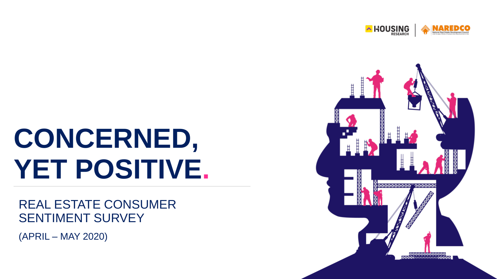

## **CONCERNED, YET POSITIVE.**

#### REAL ESTATE CONSUMER SENTIMENT SURVEY

(APRIL – MAY 2020)

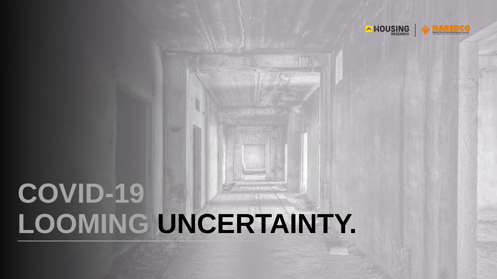

### **COVID-19 LOOMING UNCERTAINTY.**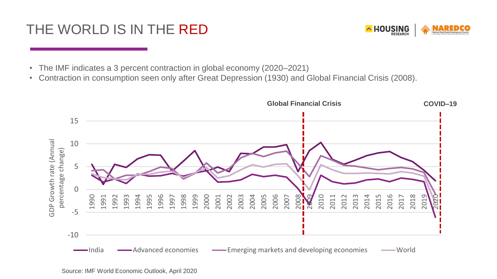### THE WORLD IS IN THE RED



- The IMF indicates a 3 percent contraction in global economy (2020–2021)
- Contraction in consumption seen only after Great Depression (1930) and Global Financial Crisis (2008).

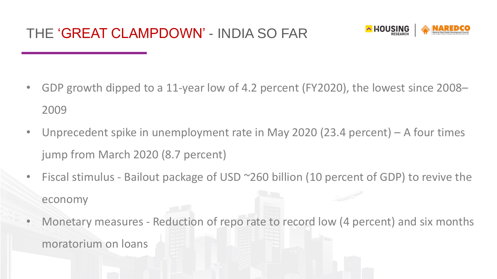

- GDP growth dipped to a 11-year low of 4.2 percent (FY2020), the lowest since 2008– 2009
- Unprecedent spike in unemployment rate in May 2020 (23.4 percent) A four times jump from March 2020 (8.7 percent)
- Fiscal stimulus Bailout package of USD ~260 billion (10 percent of GDP) to revive the economy
- Monetary measures Reduction of repo rate to record low (4 percent) and six months moratorium on loans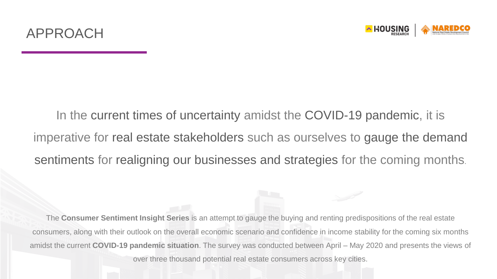

In the current times of uncertainty amidst the COVID-19 pandemic, it is imperative for real estate stakeholders such as ourselves to gauge the demand sentiments for realigning our businesses and strategies for the coming months.

The **Consumer Sentiment Insight Series** is an attempt to gauge the buying and renting predispositions of the real estate consumers, along with their outlook on the overall economic scenario and confidence in income stability for the coming six months amidst the current **COVID-19 pandemic situation**. The survey was conducted between April – May 2020 and presents the views of over three thousand potential real estate consumers across key cities.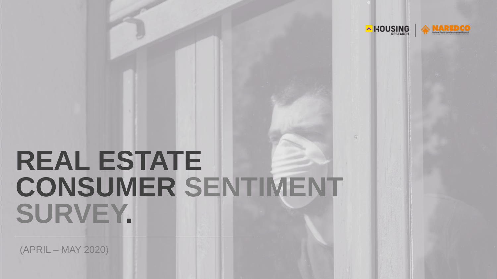

### **REAL ESTATE CONSUMER SENTIMENT SURVEY.**

(APRIL – MAY 2020)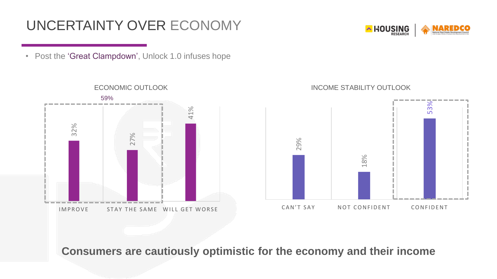### UNCERTAINTY OVER ECONOMY



• Post the 'Great Clampdown', Unlock 1.0 infuses hope

 $27%$ <br> $27%$ <br> $\qquad \qquad 27%$ <br> $\qquad \qquad 41%$ IMPROVE STAY THE SAME WILL GET WORSE 59%

#### ECONOMIC OUTLOOK **INCOME STABILITY OUTLOOK**



**Consumers are cautiously optimistic for the economy and their income**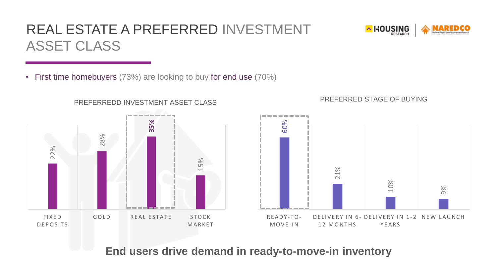### REAL ESTATE A PREFERRED INVESTMENT ASSET CLASS



• First time homebuyers (73%) are looking to buy for end use (70%)





**End users drive demand in ready-to-move-in inventory**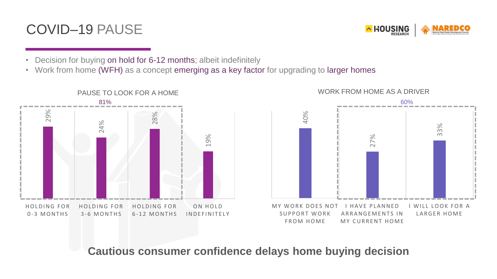#### COVID–19 PAUSE



- Decision for buying on hold for 6-12 months; albeit indefinitely
- Work from home (WFH) as a concept emerging as a key factor for upgrading to larger homes





**Cautious consumer confidence delays home buying decision**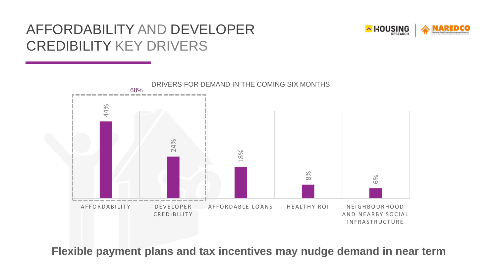### AFFORDABILITY AND DEVELOPER CREDIBILITY KEY DRIVERS





**Flexible payment plans and tax incentives may nudge demand in near term**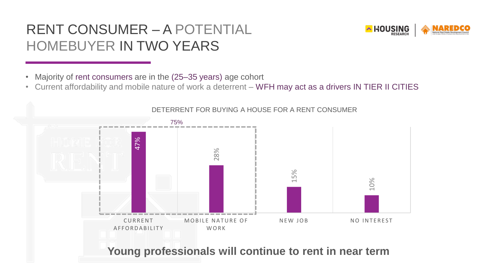### RENT CONSUMER – A POTENTIAL HOMEBUYER IN TWO YEARS

- Majority of rent consumers are in the (25–35 years) age cohort
- Current affordability and mobile nature of work a deterrent WFH may act as a drivers IN TIER II CITIES



#### DETERRENT FOR BUYING A HOUSE FOR A RENT CONSUMER

**Young professionals will continue to rent in near term**

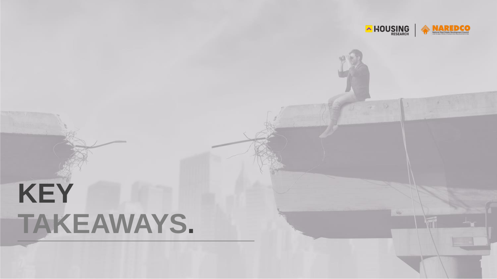

# **KEY TAKEAWAYS.**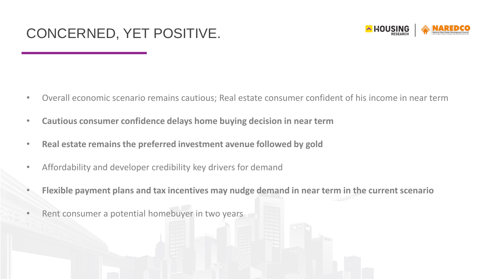#### CONCERNED, YET POSITIVE.



- Overall economic scenario remains cautious; Real estate consumer confident of his income in near term
- **Cautious consumer confidence delays home buying decision in near term**
- **Real estate remains the preferred investment avenue followed by gold**
- Affordability and developer credibility key drivers for demand
- **Flexible payment plans and tax incentives may nudge demand in near term in the current scenario**
- Rent consumer a potential homebuyer in two years